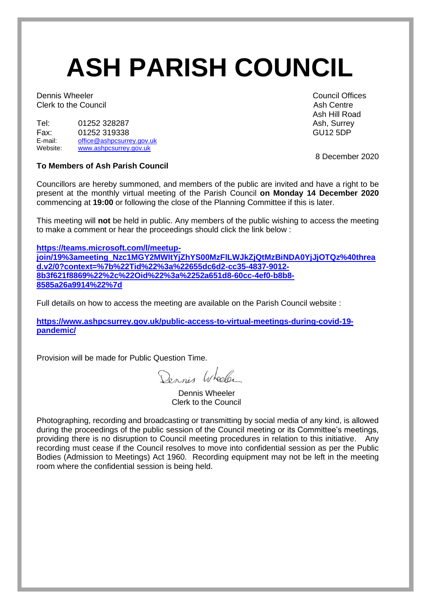# **ASH PARISH COUNCIL**

**Dennis Wheeler** Council Offices Clerk to the Council **Ash Centre** Ash Centre Ash Centre Ash Centre

| Tel:     | 01252 328287              | Ash, Surre      |
|----------|---------------------------|-----------------|
| Fax:     | 01252 319338              | <b>GU12 5DP</b> |
| E-mail:  | office@ashpcsurrey.gov.uk |                 |
| Website: | www.ashpcsurrey.gov.uk    |                 |

**To Members of Ash Parish Council**

Councillors are hereby summoned, and members of the public are invited and have a right to be present at the monthly virtual meeting of the Parish Council **on Monday 14 December 2020** commencing at **19:00** or following the close of the Planning Committee if this is later.

This meeting will **not** be held in public. Any members of the public wishing to access the meeting to make a comment or hear the proceedings should click the link below :

**[https://teams.microsoft.com/l/meetup](https://teams.microsoft.com/l/meetup-join/19%3ameeting_Nzc1MGY2MWItYjZhYS00MzFlLWJkZjQtMzBiNDA0YjJjOTQz%40thread.v2/0?context=%7b%22Tid%22%3a%22655dc6d2-cc35-4837-9012-8b3f621f8869%22%2c%22Oid%22%3a%2252a651d8-60cc-4ef0-b8b8-8585a26a9914%22%7d)[join/19%3ameeting\\_Nzc1MGY2MWItYjZhYS00MzFlLWJkZjQtMzBiNDA0YjJjOTQz%40threa](https://teams.microsoft.com/l/meetup-join/19%3ameeting_Nzc1MGY2MWItYjZhYS00MzFlLWJkZjQtMzBiNDA0YjJjOTQz%40thread.v2/0?context=%7b%22Tid%22%3a%22655dc6d2-cc35-4837-9012-8b3f621f8869%22%2c%22Oid%22%3a%2252a651d8-60cc-4ef0-b8b8-8585a26a9914%22%7d) [d.v2/0?context=%7b%22Tid%22%3a%22655dc6d2-cc35-4837-9012-](https://teams.microsoft.com/l/meetup-join/19%3ameeting_Nzc1MGY2MWItYjZhYS00MzFlLWJkZjQtMzBiNDA0YjJjOTQz%40thread.v2/0?context=%7b%22Tid%22%3a%22655dc6d2-cc35-4837-9012-8b3f621f8869%22%2c%22Oid%22%3a%2252a651d8-60cc-4ef0-b8b8-8585a26a9914%22%7d) [8b3f621f8869%22%2c%22Oid%22%3a%2252a651d8-60cc-4ef0-b8b8-](https://teams.microsoft.com/l/meetup-join/19%3ameeting_Nzc1MGY2MWItYjZhYS00MzFlLWJkZjQtMzBiNDA0YjJjOTQz%40thread.v2/0?context=%7b%22Tid%22%3a%22655dc6d2-cc35-4837-9012-8b3f621f8869%22%2c%22Oid%22%3a%2252a651d8-60cc-4ef0-b8b8-8585a26a9914%22%7d) [8585a26a9914%22%7d](https://teams.microsoft.com/l/meetup-join/19%3ameeting_Nzc1MGY2MWItYjZhYS00MzFlLWJkZjQtMzBiNDA0YjJjOTQz%40thread.v2/0?context=%7b%22Tid%22%3a%22655dc6d2-cc35-4837-9012-8b3f621f8869%22%2c%22Oid%22%3a%2252a651d8-60cc-4ef0-b8b8-8585a26a9914%22%7d)**

Full details on how to access the meeting are available on the Parish Council website :

**[https://www.ashpcsurrey.gov.uk/public-access-to-virtual-meetings-during-covid-19](https://www.ashpcsurrey.gov.uk/public-access-to-virtual-meetings-during-covid-19-pandemic/) [pandemic/](https://www.ashpcsurrey.gov.uk/public-access-to-virtual-meetings-during-covid-19-pandemic/)**

Provision will be made for Public Question Time.

Dennis Wheeler

 Dennis Wheeler Clerk to the Council

Photographing, recording and broadcasting or transmitting by social media of any kind, is allowed during the proceedings of the public session of the Council meeting or its Committee's meetings, providing there is no disruption to Council meeting procedures in relation to this initiative. Any recording must cease if the Council resolves to move into confidential session as per the Public Bodies (Admission to Meetings) Act 1960. Recording equipment may not be left in the meeting room where the confidential session is being held.

Ash Hill Road Ash, Surrey

8 December 2020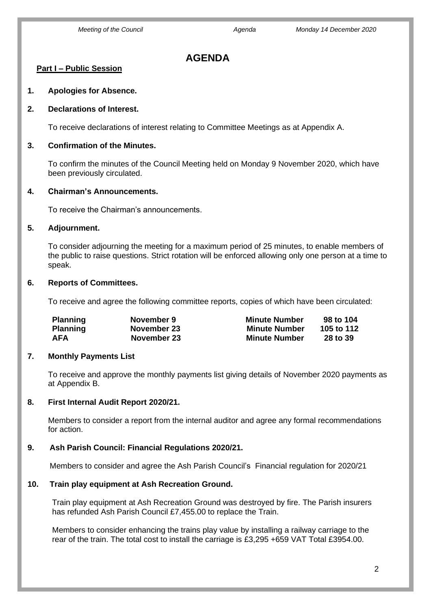### **AGENDA**

#### **Part I – Public Session**

**1. Apologies for Absence.**

#### **2. Declarations of Interest.**

To receive declarations of interest relating to Committee Meetings as at Appendix A.

#### **3. Confirmation of the Minutes.**

To confirm the minutes of the Council Meeting held on Monday 9 November 2020, which have been previously circulated.

#### **4. Chairman's Announcements.**

To receive the Chairman's announcements.

#### **5. Adjournment.**

To consider adjourning the meeting for a maximum period of 25 minutes, to enable members of the public to raise questions. Strict rotation will be enforced allowing only one person at a time to speak.

#### **6. Reports of Committees.**

To receive and agree the following committee reports, copies of which have been circulated:

| <b>Planning</b> | November 9  | <b>Minute Number</b> | 98 to 104  |
|-----------------|-------------|----------------------|------------|
| <b>Planning</b> | November 23 | Minute Number        | 105 to 112 |
| AFA             | November 23 | <b>Minute Number</b> | 28 to 39   |

#### **7. Monthly Payments List**

To receive and approve the monthly payments list giving details of November 2020 payments as at Appendix B.

#### **8. First Internal Audit Report 2020/21.**

 Members to consider a report from the internal auditor and agree any formal recommendations for action.

#### **9. Ash Parish Council: Financial Regulations 2020/21.**

Members to consider and agree the Ash Parish Council's Financial regulation for 2020/21

#### **10. Train play equipment at Ash Recreation Ground.**

Train play equipment at Ash Recreation Ground was destroyed by fire. The Parish insurers has refunded Ash Parish Council £7,455.00 to replace the Train.

Members to consider enhancing the trains play value by installing a railway carriage to the rear of the train. The total cost to install the carriage is £3,295 +659 VAT Total £3954.00.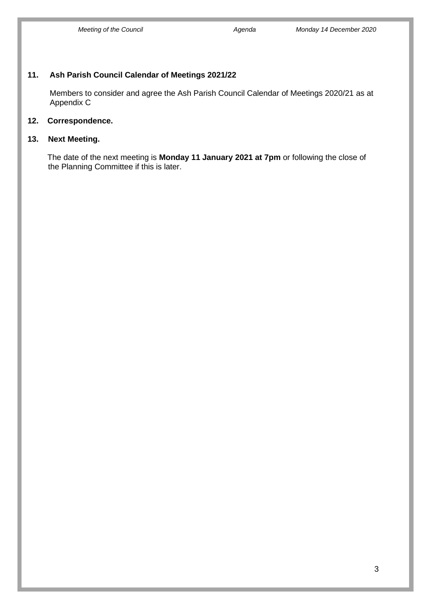#### **11. Ash Parish Council Calendar of Meetings 2021/22**

 Members to consider and agree the Ash Parish Council Calendar of Meetings 2020/21 as at Appendix C

#### **12. Correspondence.**

#### **13. Next Meeting.**

The date of the next meeting is **Monday 11 January 2021 at 7pm** or following the close of the Planning Committee if this is later.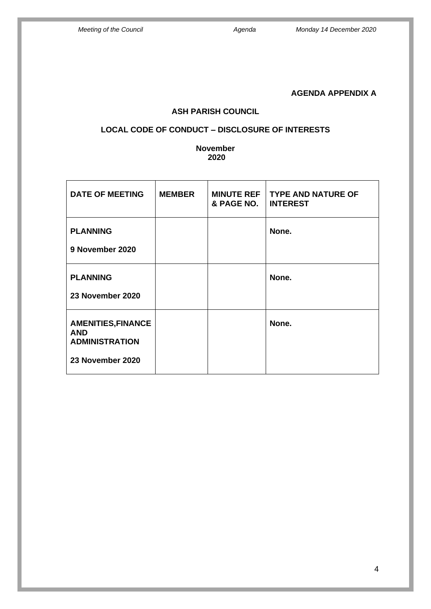### **AGENDA APPENDIX A**

#### **ASH PARISH COUNCIL**

#### **LOCAL CODE OF CONDUCT – DISCLOSURE OF INTERESTS**

#### **November 2020**

| <b>DATE OF MEETING</b>                                                               | <b>MEMBER</b> | <b>MINUTE REF</b><br>& PAGE NO. | <b>TYPE AND NATURE OF</b><br><b>INTEREST</b> |
|--------------------------------------------------------------------------------------|---------------|---------------------------------|----------------------------------------------|
| <b>PLANNING</b><br>9 November 2020                                                   |               |                                 | None.                                        |
| <b>PLANNING</b><br>23 November 2020                                                  |               |                                 | None.                                        |
| <b>AMENITIES, FINANCE</b><br><b>AND</b><br><b>ADMINISTRATION</b><br>23 November 2020 |               |                                 | None.                                        |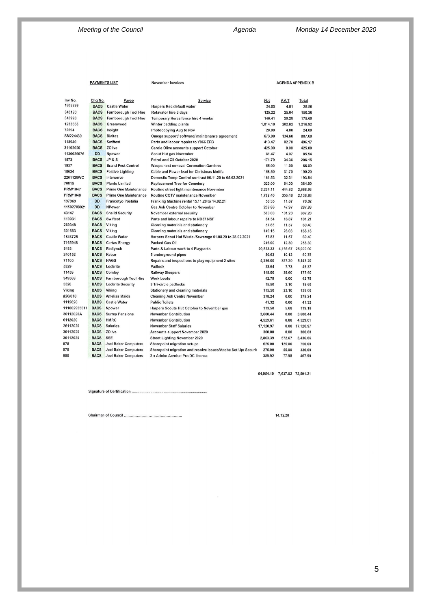|             | <b>PAYMENTS LIST</b> |                              | <b>November Invoices</b>                                      |           |        | <b>AGENDA APPENDIX B</b> |  |
|-------------|----------------------|------------------------------|---------------------------------------------------------------|-----------|--------|--------------------------|--|
| Inv No.     | Chq No.              | Payee                        | Service                                                       | Net       | V.A.T  | Total                    |  |
| 1808299     | <b>BACS</b>          | <b>Castle Water</b>          | <b>Harpers Rec default water</b>                              | 24.05     | 4.81   | 28.86                    |  |
| 345190      | <b>BACS</b>          | Farnborough Tool Hire        | Rotavator hire 3 days                                         | 125.22    | 25.04  | 150.26                   |  |
| 345993      | <b>BACS</b>          | <b>Farnborough Tool Hire</b> | Temporary Heras fence hire 4 weeks                            | 146.41    | 29.28  | 175.69                   |  |
| 1253668     | <b>BACS</b>          | Greenwood                    | Winter bedding plants                                         | 1,014.10  | 202.82 | 1,216.92                 |  |
| 72694       | <b>BACS</b>          | Insight                      | Photocopying Aug to Nov                                       | 20.00     | 4.00   | 24.00                    |  |
| SM224430    | <b>BACS</b>          | <b>Rialtas</b>               | Omega support/ software/ maintenance agreement                | 673.00    | 134.60 | 807.60                   |  |
| 118940      | <b>BACS</b>          | Swiftest                     | Parts and labour repairs to Y066 EFB                          | 413.47    | 82.70  | 496.17                   |  |
| 31102020    | <b>BACS</b>          | ZOlive                       | <b>Carole Olive accounts support October</b>                  | 425.00    | 0.00   | 425.00                   |  |
| 1130029076  | <b>DD</b>            | Npower                       | Scout Hut gas November                                        | 81.47     | 4.07   | 85.54                    |  |
| 1573        | <b>BACS</b>          | <b>JP&amp;S</b>              | Petrol and Oil October 2020                                   | 171.79    | 34.36  | 206.15                   |  |
| 1937        | <b>BACS</b>          | <b>Brand Pest Control</b>    | <b>Wasps nest removal Coronation Gardens</b>                  | 55.00     | 11.00  | 66.00                    |  |
| 18634       | <b>BACS</b>          | <b>Festive Lighting</b>      | Cable and Power lead for Christmas Motifs                     | 158.50    | 31.70  | 190.20                   |  |
| 2261128WC   | <b>BACS</b>          | Interserve                   | Domestic Temp Control contract 06.11.20 to 05.02.2021         | 161.53    | 32.31  | 193.84                   |  |
| 70815       | <b>BACS</b>          | <b>Plants Limited</b>        | <b>Replacement Tree for Cemetery</b>                          | 320.00    | 64.00  | 384.00                   |  |
| PRM/1047    | <b>BACS</b>          | <b>Prime One Maintenance</b> | Routine street light maintenance November                     | 2,224.11  | 444.82 | 2,668.93                 |  |
| PRM/1048    | <b>BACS</b>          | <b>Prime One Maintenance</b> | Routine CCTV maintenance November                             | 1,782.40  | 356.48 | 2,138.88                 |  |
| 197969      | <b>DD</b>            | <b>Francotyo Postalia</b>    | Franking Machine rental 15.11.20 to 14.02.21                  | 58.35     | 11.67  | 70.02                    |  |
| 11502788021 | DD                   | <b>NPower</b>                | Gas Ash Centre October to November                            | 239.86    | 47.97  | 287.83                   |  |
| 43147       | <b>BACS</b>          | <b>Sheild Security</b>       | November external security                                    | 506.00    | 101.20 | 607.20                   |  |
| 119031      | <b>BACS</b>          | Swiftest                     | Parts and labour repairs to ND57 NSF                          | 84.34     | 16.87  | 101.21                   |  |
| 269348      | <b>BACS</b>          | Viking                       | Cleaning materials and stationery                             | 57.83     | 11.57  | 69.40                    |  |
| 301663      | <b>BACS</b>          | Viking                       | Cleaning materials and stationery                             | 140.15    | 28.03  | 168.18                   |  |
| 1843725     | <b>BACS</b>          | <b>Castle Water</b>          | Harpers Scout Hut Waste /Sewerage 01.08.20 to 28.02.2021      | 57.83     | 11.57  | 69.40                    |  |
| 7165948     | <b>BACS</b>          | <b>Certas Energy</b>         | <b>Packed Gas Oil</b>                                         | 246.00    | 12.30  | 258.30                   |  |
| 3483        | <b>BACS</b>          | Redlynch                     | Parts & Labour work to 4 Playparks                            | 20,833.33 |        | 4,166.67 25,000.00       |  |
| 240152      | <b>BACS</b>          | Kebur                        | 5 underground pipes                                           | 50.63     | 10.12  | 60.75                    |  |
| 71105       | <b>BACS</b>          | <b>HAGS</b>                  | Repairs and inspections to play equipment 2 sites             | 4,286.00  | 857.20 | 5,143.20                 |  |
| 5329        | <b>BACS</b>          | Lockrite                     | Padlock                                                       | 38.64     | 7.73   | 46.37                    |  |
| 11459       | <b>BACS</b>          | Comley                       | <b>Railway Sleepers</b>                                       | 148.00    | 29.60  | 177.60                   |  |
| 349568      | <b>BACS</b>          | Farnborough Tool Hire        | Work boots                                                    | 42.79     | 0.00   | 42.79                    |  |
| 5328        | <b>BACS</b>          | <b>Lockrite Security</b>     | 3 Tri-circle padlocks                                         | 15.50     | 3.10   | 18.60                    |  |
| /iking      | <b>BACS</b>          | Viking                       | <b>Stationery and cleaning materials</b>                      | 115.50    | 23.10  | 138.60                   |  |
| 120/010     | <b>BACS</b>          | <b>Amelias Maids</b>         | <b>Cleaning Ash Centre November</b>                           | 378.24    | 0.00   | 378.24                   |  |
| 112020      | <b>BACS</b>          | <b>Castle Water</b>          | <b>Public Toilets</b>                                         | 41.32     | 0.00   | 41.32                    |  |
| 11002955011 | <b>BACS</b>          | Npower                       | Harpers Scouts Hut October to November gas                    | 113.50    | 5.68   | 119.18                   |  |
| 80112020A   | <b>BACS</b>          | <b>Surrey Pensions</b>       | <b>November Contribution</b>                                  | 3,600.44  | 0.00   | 3,600.44                 |  |
| 112020      | <b>BACS</b>          | <b>HMRC</b>                  | <b>November Contribution</b>                                  | 4,529.61  | 0.00   | 4,529.61                 |  |
| 16112020    | <b>BACS</b>          | <b>Salaries</b>              | <b>November Staff Salaries</b>                                | 17,120.97 |        | 0.00 17,120.97           |  |
| 0112020     | <b>BACS</b>          | ZOlive                       | <b>Accounts support November 2020</b>                         | 300.00    | 0.00   | 300.00                   |  |
| 0112020     | <b>BACS</b>          | SSE                          | <b>Street Lighting November 2020</b>                          | 2,863.39  | 572.67 | 3,436.06                 |  |
| 178         | <b>BACS</b>          | <b>Joel Baker Computers</b>  | <b>Sharepoint migration setups</b>                            | 625.00    | 125.00 | 750.00                   |  |
| 179         | <b>BACS</b>          | <b>Joel Baker Computers</b>  | Sharepoint migration and resolve issues/Adobe Set Up/ Securit | 275.00    | 55.00  | 330.00                   |  |
| 80          | <b>BACS</b>          | <b>Joel Baker Computers</b>  | 2 x Adobe Acrobat Pro DC license                              | 389.92    | 77.98  | 467.90                   |  |

64,954.19 7,637.02 72,591.21

Signature of Certification .........................

14.12.20